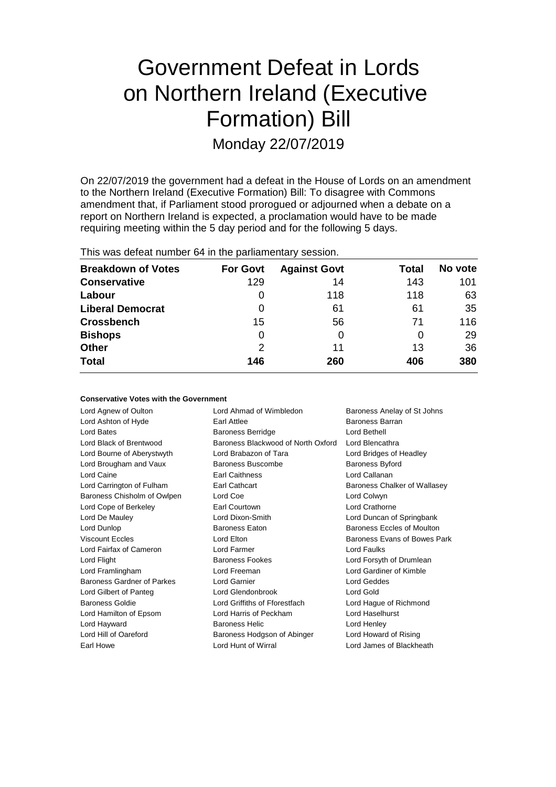# Government Defeat in Lords on Northern Ireland (Executive Formation) Bill Monday 22/07/2019

On 22/07/2019 the government had a defeat in the House of Lords on an amendment to the Northern Ireland (Executive Formation) Bill: To disagree with Commons amendment that, if Parliament stood prorogued or adjourned when a debate on a report on Northern Ireland is expected, a proclamation would have to be made requiring meeting within the 5 day period and for the following 5 days.

|  |  |  |  |  | This was defeat number 64 in the parliamentary session. |  |
|--|--|--|--|--|---------------------------------------------------------|--|
|--|--|--|--|--|---------------------------------------------------------|--|

| <b>Breakdown of Votes</b> | <b>For Govt</b> | <b>Against Govt</b> | Total    | No vote |
|---------------------------|-----------------|---------------------|----------|---------|
| <b>Conservative</b>       | 129             | 14                  | 143      | 101     |
| Labour                    | 0               | 118                 | 118      | 63      |
| <b>Liberal Democrat</b>   | 0               | 61                  | 61       | 35      |
| <b>Crossbench</b>         | 15              | 56                  | 71       | 116     |
| <b>Bishops</b>            | 0               | 0                   | $\Omega$ | 29      |
| <b>Other</b>              | 2               | 11                  | 13       | 36      |
| <b>Total</b>              | 146             | 260                 | 406      | 380     |

| Baroness Anelay of St Johns  | Lord Ahmad of Wimbledon            | Lord Agnew of Oulton        |
|------------------------------|------------------------------------|-----------------------------|
| Baroness Barran              | Earl Attlee                        | Lord Ashton of Hyde         |
| Lord Bethell                 | <b>Baroness Berridge</b>           | Lord Bates                  |
| Lord Blencathra              | Baroness Blackwood of North Oxford | Lord Black of Brentwood     |
| Lord Bridges of Headley      | Lord Brabazon of Tara              | Lord Bourne of Aberystwyth  |
| Baroness Byford              | <b>Baroness Buscombe</b>           | Lord Brougham and Vaux      |
| Lord Callanan                | <b>Earl Caithness</b>              | Lord Caine                  |
| Baroness Chalker of Wallasey | <b>Earl Cathcart</b>               | Lord Carrington of Fulham   |
| Lord Colwyn                  | Lord Coe                           | Baroness Chisholm of Owlpen |
| Lord Crathorne               | Earl Courtown                      | Lord Cope of Berkeley       |
| Lord Duncan of Springbank    | Lord Dixon-Smith                   | Lord De Mauley              |
| Baroness Eccles of Moulton   | <b>Baroness Eaton</b>              | Lord Dunlop                 |
| Baroness Evans of Bowes Park | Lord Elton                         | <b>Viscount Eccles</b>      |
| Lord Faulks                  | Lord Farmer                        | Lord Fairfax of Cameron     |
| Lord Forsyth of Drumlean     | <b>Baroness Fookes</b>             | Lord Flight                 |
| Lord Gardiner of Kimble      | Lord Freeman                       | Lord Framlingham            |
| Lord Geddes                  | <b>Lord Garnier</b>                | Baroness Gardner of Parkes  |
| Lord Gold                    | Lord Glendonbrook                  | Lord Gilbert of Panteg      |
| Lord Hague of Richmond       | Lord Griffiths of Fforestfach      | <b>Baroness Goldie</b>      |
| Lord Haselhurst              | Lord Harris of Peckham             | Lord Hamilton of Epsom      |
| Lord Henley                  | <b>Baroness Helic</b>              | Lord Hayward                |
| Lord Howard of Rising        | Baroness Hodgson of Abinger        | Lord Hill of Oareford       |
| Lord James of Blackheath     | Lord Hunt of Wirral                | Earl Howe                   |
|                              |                                    |                             |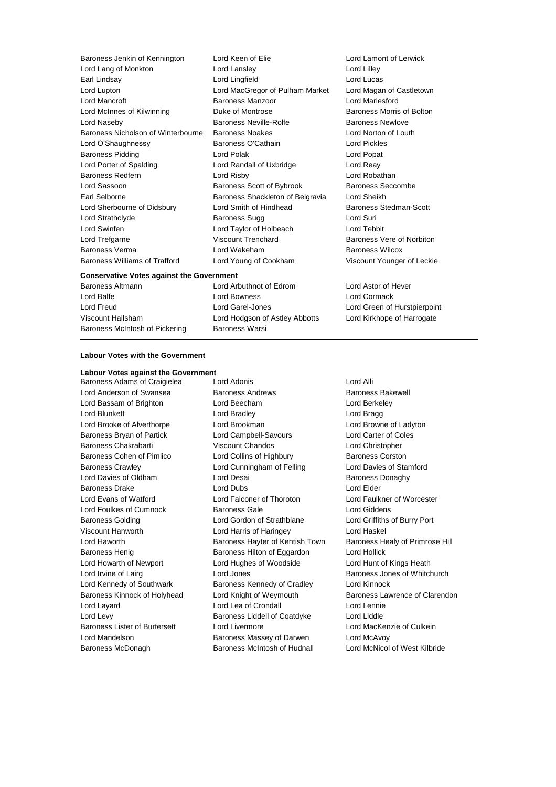| Baroness Jenkin of Kennington        |
|--------------------------------------|
| Lord Lang of Monkton                 |
| Earl Lindsay                         |
| Lord Lupton                          |
| Lord Mancroft                        |
| Lord McInnes of Kilwinning           |
| Lord Naseby                          |
| Baroness Nicholson of Winterbourne   |
| Lord O'Shaughnessy                   |
| Baroness Pidding                     |
| Lord Porter of Spalding              |
| <b>Baroness Redfern</b>              |
| Lord Sassoon                         |
| Earl Selborne                        |
| Lord Sherbourne of Didsbury          |
| Lord Strathclyde                     |
| Lord Swinfen                         |
| Lord Trefgarne                       |
| <b>Baroness Verma</b>                |
| <b>Baroness Williams of Trafford</b> |

Lord Keen of Elie Lord Lamont of Lerwick Lord Lansley **Lord Lilley Lord Lingfield Lord Lucas** Lord MacGregor of Pulham Market Lord Magan of Castletown Lord Mancroft Baroness Manzoor Lord Marlesford Lord McInnes of Kilwinning Duke of Montrose Baroness Morris of Bolton Raroness Neville-Rolfe Baroness Newlove Baroness Noakes **Lord Norton of Louth** Baroness O'Cathain Lord Pickles Lord Polak **Lord Popat** Lord Randall of Uxbridge Lord Reay Lord Risby **Lord Robathan** Baroness Scott of Bybrook Baroness Seccombe Baroness Shackleton of Belgravia Lord Sheikh Lord Smith of Hindhead Baroness Stedman-Scott Baroness Sugg Lord Suri Lord Taylor of Holbeach Lord Tebbit Viscount Trenchard Baroness Vere of Norbiton Lord Wakeham Baroness Wilcox Lord Young of Cookham Viscount Younger of Leckie

#### **Conservative Votes against the Government**

Baroness McIntosh of Pickering Baroness Warsi

Baroness Altmann Lord Arbuthnot of Edrom Lord Astor of Hever Lord Balfe Lord Bowness Lord Cormack Lord Freud Lord Garel-Jones Lord Green of Hurstpierpoint Viscount Hailsham Lord Hodgson of Astley Abbotts Lord Kirkhope of Harrogate

#### **Labour Votes with the Government**

### **Labour Votes against the Government**<br>Baroness Adams of Craigielea and Adonis

Lord Anderson of Swansea **Baroness Andrews** Baroness Bakewell Lord Bassam of Brighton Lord Beecham Lord Berkeley Lord Blunkett **Lord Bradley** Lord Bradley **Lord Bragg** Lord Brooke of Alverthorpe Lord Brookman Lord Browne of Ladyton Baroness Bryan of Partick Lord Campbell-Savours Lord Carter of Coles Baroness Chakrabarti Viscount Chandos Lord Christopher Baroness Cohen of Pimlico **Lord Collins of Highbury** Baroness Corston Baroness Crawley Lord Cunningham of Felling Lord Davies of Stamford Lord Davies of Oldham **Lord Desai** Baroness Donaghy Baroness Drake Lord Dubs Lord Elder Lord Evans of Watford Lord Falconer of Thoroton Lord Faulkner of Worcester Lord Foulkes of Cumnock Baroness Gale Lord Giddens Baroness Golding Lord Gordon of Strathblane Lord Griffiths of Burry Port Viscount Hanworth Lord Harris of Haringey Lord Haskel Lord Haworth **Baroness Hayter of Kentish Town** Baroness Healy of Primrose Hill Baroness Henig Baroness Hilton of Eggardon Lord Hollick Lord Howarth of Newport Lord Hughes of Woodside Lord Hunt of Kings Heath Lord Irvine of Lairg **Lord Lord Jones Lord Communist Communist Communist Communist Communist Communist Communist Communist Communist Communist Communist Communist Communist Communist Communist Communist Communist Communi** Lord Kennedy of Southwark Baroness Kennedy of Cradley Lord Kinnock Baroness Kinnock of Holyhead Lord Knight of Weymouth Baroness Lawrence of Clarendon Lord Layard Lord Lea of Crondall Lord Lennie Lord Levy Baroness Liddell of Coatdyke Lord Liddle Baroness Lister of Burtersett Lord Livermore Lord Lord MacKenzie of Culkein Lord Mandelson Baroness Massey of Darwen Lord McAvoy Baroness McDonagh Baroness McIntosh of Hudnall Lord McNicol of West Kilbride

Baroness Adams of Craigielea Lord Adonis Cord Alli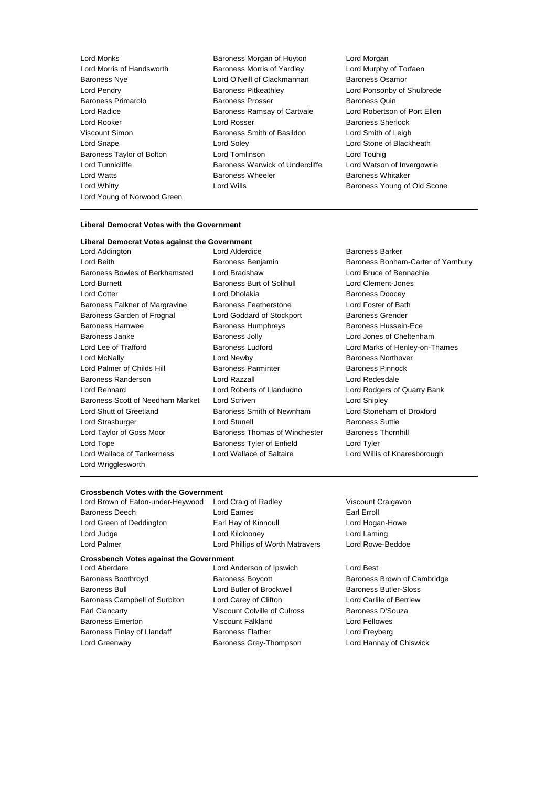Lord Young of Norwood Green

- Lord Monks<br>
Lord Morris of Handsworth **Baroness Morris of Huyton**<br>
Baroness Morris of Yardlev<br>
Lord Murphy Baroness Morris of Yardley **Lord Murphy of Torfaen** Baroness Nye Lord O'Neill of Clackmannan Baroness Osamor Lord Pendry Baroness Pitkeathley Lord Ponsonby of Shulbrede Baroness Primarolo **Baroness Prosser** Baroness Prosser Baroness Quin Lord Radice **Baroness Ramsay of Cartvale** Lord Robertson of Port Ellen Lord Rooker Lord Rosser Baroness Sherlock Viscount Simon Baroness Smith of Basildon Lord Smith of Leigh Lord Snape **Lord Soley** Lord Soley **Lord Stone of Blackheath** Baroness Taylor of Bolton Lord Tomlinson Lord Touhig Lord Tunnicliffe **Baroness Warwick of Undercliffe** Lord Watson of Invergowrie Lord Watts **Baroness Wheeler** Baroness Wheeler **Baroness Whitaker** Lord Whitty **Lord Wills Lord Wills Baroness Young of Old Scone** 
	-

#### **Liberal Democrat Votes with the Government**

| Liberal Democrat Votes against the Government |
|-----------------------------------------------|
| <b>Lord Alderdi</b>                           |
| Baroness Be                                   |
| Lord Bradsh                                   |
| Baroness B                                    |
| <b>Lord Dholak</b>                            |
| Baroness Fe                                   |
| Lord Godda                                    |
| Baroness H                                    |
| <b>Baroness Jo</b>                            |
| <b>Baroness Lu</b>                            |
| Lord Newby                                    |
| Baroness Pa                                   |
| Lord Razzal                                   |
| Lord Robert                                   |
| <b>Lord Scriver</b>                           |
| <b>Baroness S</b>                             |
| <b>Lord Stunell</b>                           |
| Baroness Th                                   |
| Baroness Ty                                   |
| Lord Wallac                                   |
|                                               |
|                                               |

Lord Alderdice Baroness Barker Lord Bradshaw **Lord Bruce of Bennachie** Baroness Burt of Solihull Lord Clement-Jones Lord Dholakia **Baroness** Doocey Baroness Featherstone **Baroness** Featherstone **Baroness** Eatherstone Lord Foster of Bath Lord Goddard of Stockport Baroness Grender Baroness Humphreys Baroness Hussein-Ece Baroness Jolly **Baroness** Jolly **Baroness** Jolly **Lord Jones of Cheltenham** Lord Newby **Baroness Northover** Baroness Parminter **Childs Hill Baroness Pinnock** Lord Razzall Lord Redesdale Lord Roberts of Llandudno Lord Rodgers of Quarry Bank Lord Scriven **Market Lord Shipley** Baroness Smith of Newnham Lord Stoneham of Droxford Lord Stunell **Baroness** Suttie Baroness Thomas of Winchester Baroness Thornhill Baroness Tyler of Enfield Lord Tyler

Baroness Benjamin Baroness Bonham-Carter of Yarnbury Baroness Ludford **Baroness Ludford** Lord Marks of Henley-on-Thames Lord Wallace of Saltaire **Lord Willis of Knaresborough** 

#### **Crossbench Votes with the Government**

| Lord Brown of Eaton-under-Heywood | Lord Craig of Radley             |
|-----------------------------------|----------------------------------|
| Baroness Deech                    | Lord Eames                       |
| Lord Green of Deddington          | Earl Hay of Kinnoull             |
| Lord Judge                        | Lord Kilcloonev                  |
| Lord Palmer                       | Lord Phillips of Worth Matravers |
|                                   |                                  |

#### **Crossbench Votes against the Government**

Baroness Boothroyd **Baroness Boycott** Baroness Boycott **Baroness Brown of Cambridge** Baroness Bull Lord Butler of Brockwell Baroness Butler-Sloss Baroness Campbell of Surbiton Lord Carey of Clifton Lord Carlile of Berriew Earl Clancarty **Viscount Colville of Culross** Baroness D'Souza Baroness Emerton Viscount Falkland Lord Fellowes Baroness Finlay of Llandaff Baroness Flather Baroness Flather Lord Freyberg Lord Greenway Baroness Grey-Thompson Lord Hannay of Chiswick

Lord Aberdare Lord Anderson of Ipswich Lord Best

Viscount Craigavon Earl Erroll Lord Hogan-Howe Lord Laming Lord Rowe-Beddoe